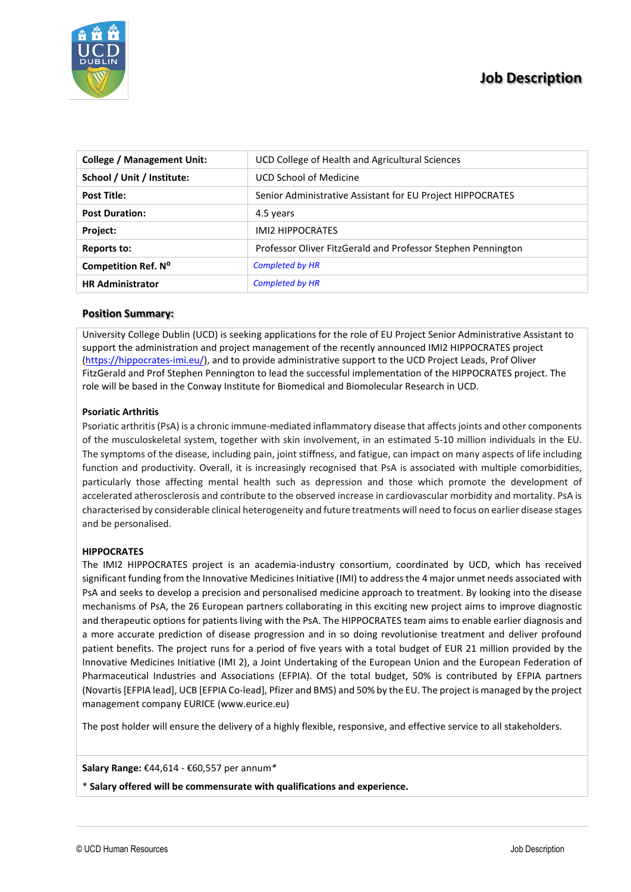# **Job Description**



| <b>College / Management Unit:</b> | UCD College of Health and Agricultural Sciences              |
|-----------------------------------|--------------------------------------------------------------|
| School / Unit / Institute:        | UCD School of Medicine                                       |
| <b>Post Title:</b>                | Senior Administrative Assistant for EU Project HIPPOCRATES   |
| <b>Post Duration:</b>             | 4.5 years                                                    |
| Project:                          | <b>IMI2 HIPPOCRATES</b>                                      |
| <b>Reports to:</b>                | Professor Oliver FitzGerald and Professor Stephen Pennington |
| Competition Ref. Nº               | <b>Completed by HR</b>                                       |
| <b>HR Administrator</b>           | <b>Completed by HR</b>                                       |

# **Position Summary:**

University College Dublin (UCD) is seeking applications for the role of EU Project Senior Administrative Assistant to support the administration and project management of the recently announced IMI2 HIPPOCRATES project [\(https://hippocrates-imi.eu/\)](https://hippocrates-imi.eu/), and to provide administrative support to the UCD Project Leads, Prof Oliver FitzGerald and Prof Stephen Pennington to lead the successful implementation of the HIPPOCRATES project. The role will be based in the Conway Institute for Biomedical and Biomolecular Research in UCD.

# **Psoriatic Arthritis**

Psoriatic arthritis (PsA) is a chronic immune-mediated inflammatory disease that affects joints and other components of the musculoskeletal system, together with skin involvement, in an estimated 5-10 million individuals in the EU. The symptoms of the disease, including pain, joint stiffness, and fatigue, can impact on many aspects of life including function and productivity. Overall, it is increasingly recognised that PsA is associated with multiple comorbidities, particularly those affecting mental health such as depression and those which promote the development of accelerated atherosclerosis and contribute to the observed increase in cardiovascular morbidity and mortality. PsA is characterised by considerable clinical heterogeneity and future treatments will need to focus on earlier disease stages and be personalised.

## **HIPPOCRATES**

The IMI2 HIPPOCRATES project is an academia-industry consortium, coordinated by UCD, which has received significant funding from the Innovative Medicines Initiative (IMI) to address the 4 major unmet needs associated with PsA and seeks to develop a precision and personalised medicine approach to treatment. By looking into the disease mechanisms of PsA, the 26 European partners collaborating in this exciting new project aims to improve diagnostic and therapeutic options for patients living with the PsA. The HIPPOCRATES team aims to enable earlier diagnosis and a more accurate prediction of disease progression and in so doing revolutionise treatment and deliver profound patient benefits. The project runs for a period of five years with a total budget of EUR 21 million provided by the Innovative Medicines Initiative (IMI 2), a Joint Undertaking of the European Union and the European Federation of Pharmaceutical Industries and Associations (EFPIA). Of the total budget, 50% is contributed by EFPIA partners (Novartis [EFPIA lead], UCB [EFPIA Co-lead], Pfizer and BMS) and 50% by the EU. The project is managed by the project management company EURICE (www.eurice.eu)

The post holder will ensure the delivery of a highly flexible, responsive, and effective service to all stakeholders.

## **Salary Range:** €44,614 - €60,557 per annum*\**

\* **Salary offered will be commensurate with qualifications and experience.**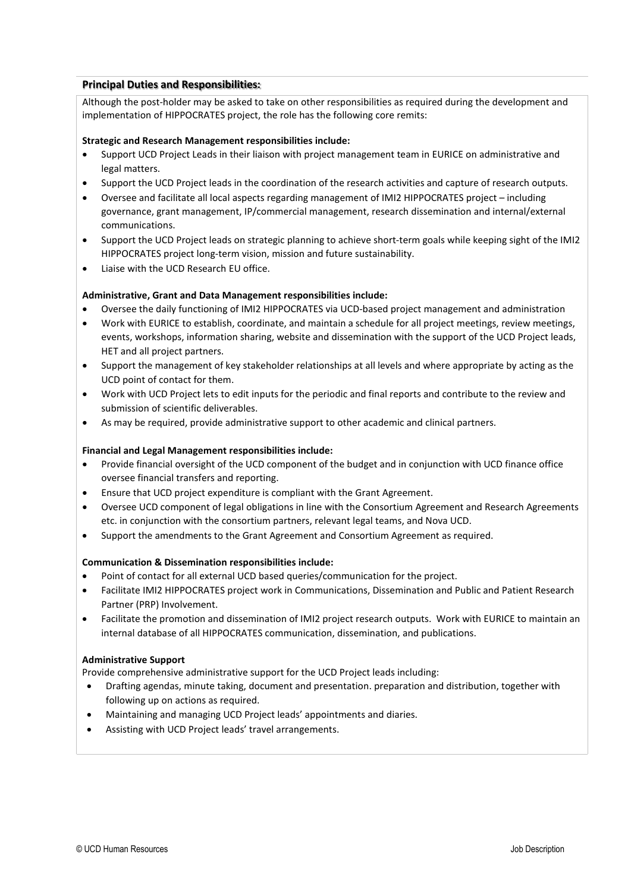# **Principal Duties and Responsibilities:**

Although the post-holder may be asked to take on other responsibilities as required during the development and implementation of HIPPOCRATES project, the role has the following core remits:

## **Strategic and Research Management responsibilities include:**

- Support UCD Project Leads in their liaison with project management team in EURICE on administrative and legal matters.
- Support the UCD Project leads in the coordination of the research activities and capture of research outputs.
- Oversee and facilitate all local aspects regarding management of IMI2 HIPPOCRATES project including governance, grant management, IP/commercial management, research dissemination and internal/external communications.
- Support the UCD Project leads on strategic planning to achieve short-term goals while keeping sight of the IMI2 HIPPOCRATES project long-term vision, mission and future sustainability.
- Liaise with the UCD Research EU office.

# **Administrative, Grant and Data Management responsibilities include:**

- Oversee the daily functioning of IMI2 HIPPOCRATES via UCD-based project management and administration
- Work with EURICE to establish, coordinate, and maintain a schedule for all project meetings, review meetings, events, workshops, information sharing, website and dissemination with the support of the UCD Project leads, HET and all project partners.
- Support the management of key stakeholder relationships at all levels and where appropriate by acting as the UCD point of contact for them.
- Work with UCD Project lets to edit inputs for the periodic and final reports and contribute to the review and submission of scientific deliverables.
- As may be required, provide administrative support to other academic and clinical partners.

## **Financial and Legal Management responsibilities include:**

- Provide financial oversight of the UCD component of the budget and in conjunction with UCD finance office oversee financial transfers and reporting.
- Ensure that UCD project expenditure is compliant with the Grant Agreement.
- Oversee UCD component of legal obligations in line with the Consortium Agreement and Research Agreements etc. in conjunction with the consortium partners, relevant legal teams, and Nova UCD.
- Support the amendments to the Grant Agreement and Consortium Agreement as required.

## **Communication & Dissemination responsibilities include:**

- Point of contact for all external UCD based queries/communication for the project.
- Facilitate IMI2 HIPPOCRATES project work in Communications, Dissemination and Public and Patient Research Partner (PRP) Involvement.
- Facilitate the promotion and dissemination of IMI2 project research outputs. Work with EURICE to maintain an internal database of all HIPPOCRATES communication, dissemination, and publications.

## **Administrative Support**

Provide comprehensive administrative support for the UCD Project leads including:

- Drafting agendas, minute taking, document and presentation. preparation and distribution, together with following up on actions as required.
- Maintaining and managing UCD Project leads' appointments and diaries.
- Assisting with UCD Project leads' travel arrangements.